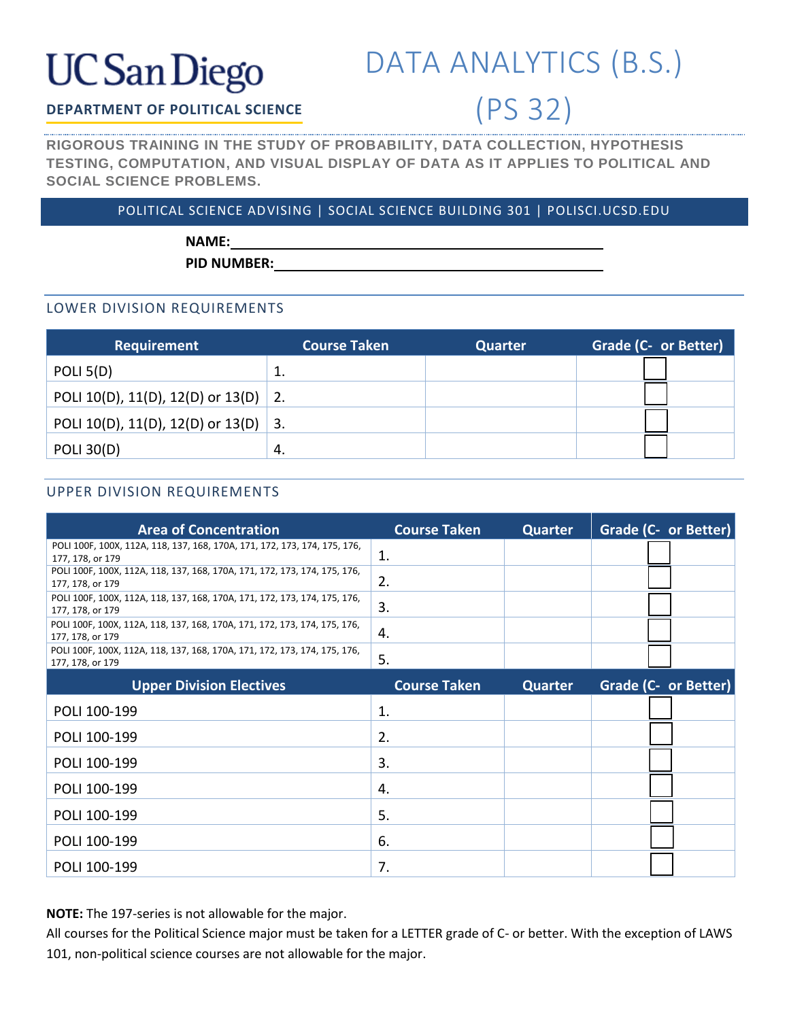# **UC San Diego**

### DATA ANALYTICS (B.S.)

(PS 32)

### **DEPARTMENT OF POLITICAL SCIENCE**

**RIGOROUS TRAINING IN THE STUDY OF PROBABILITY, DATA COLLECTION, HYPOTHESIS TESTING, COMPUTATION, AND VISUAL DISPLAY OF DATA AS IT APPLIES TO POLITICAL AND SOCIAL SCIENCE PROBLEMS.**

### POLITICAL SCIENCE ADVISING | SOCIAL SCIENCE BUILDING 301 | POLISCI.UCSD.EDU

**NAME:**

**PID NUMBER:**

### LOWER DIVISION REQUIREMENTS

| <b>Requirement</b>                   | <b>Course Taken</b> | Quarter | Grade (C- or Better) |
|--------------------------------------|---------------------|---------|----------------------|
| POLI $5(D)$                          | ᅩ                   |         |                      |
| POLI 10(D), 11(D), 12(D) or 13(D) 2. |                     |         |                      |
| POLI 10(D), 11(D), 12(D) or 13(D) 3. |                     |         |                      |
| <b>POLI 30(D)</b>                    | -4.                 |         |                      |

### UPPER DIVISION REQUIREMENTS

| <b>Area of Concentration</b>                                                                  | <b>Course Taken</b> | <b>Quarter</b> | <b>Grade (C- or Better)</b> |
|-----------------------------------------------------------------------------------------------|---------------------|----------------|-----------------------------|
| POLI 100F, 100X, 112A, 118, 137, 168, 170A, 171, 172, 173, 174, 175, 176,<br>177, 178, or 179 | 1.                  |                |                             |
| POLI 100F, 100X, 112A, 118, 137, 168, 170A, 171, 172, 173, 174, 175, 176,<br>177, 178, or 179 | 2.                  |                |                             |
| POLI 100F, 100X, 112A, 118, 137, 168, 170A, 171, 172, 173, 174, 175, 176,<br>177, 178, or 179 | 3.                  |                |                             |
| POLI 100F, 100X, 112A, 118, 137, 168, 170A, 171, 172, 173, 174, 175, 176,<br>177, 178, or 179 | 4.                  |                |                             |
| POLI 100F, 100X, 112A, 118, 137, 168, 170A, 171, 172, 173, 174, 175, 176,<br>177, 178, or 179 | 5.                  |                |                             |
| <b>Upper Division Electives</b>                                                               | <b>Course Taken</b> | <b>Quarter</b> | <b>Grade (C- or Better)</b> |
| POLI 100-199                                                                                  | 1.                  |                |                             |
| POLI 100-199                                                                                  | 2.                  |                |                             |
| POLI 100-199                                                                                  | 3.                  |                |                             |
| POLI 100-199                                                                                  | 4.                  |                |                             |
| POLI 100-199                                                                                  | 5.                  |                |                             |
| POLI 100-199                                                                                  | 6.                  |                |                             |
| POLI 100-199                                                                                  | 7.                  |                |                             |

**NOTE:** The 197-series is not allowable for the major.

All courses for the Political Science major must be taken for a LETTER grade of C- or better. With the exception of LAWS 101, non-political science courses are not allowable for the major.